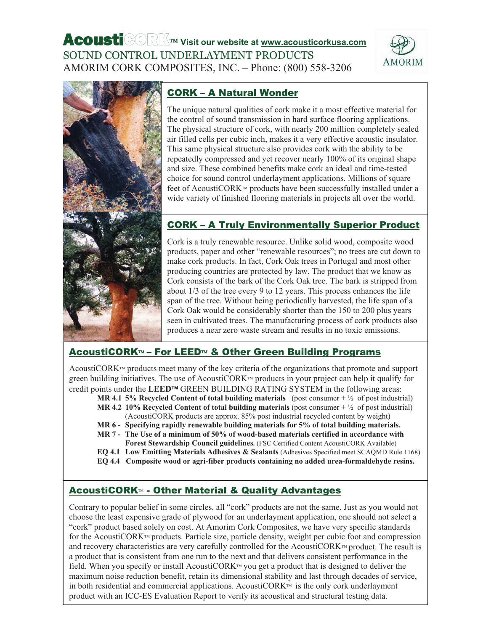



# CORK – A Natural Wonder

The unique natural qualities of cork make it a most effective material for the control of sound transmission in hard surface flooring applications. The physical structure of cork, with nearly 200 million completely sealed air filled cells per cubic inch, makes it a very effective acoustic insulator. This same physical structure also provides cork with the ability to be repeatedly compressed and yet recover nearly 100% of its original shape and size. These combined benefits make cork an ideal and time-tested choice for sound control underlayment applications. Millions of square feet of AcoustiCORK<sup>™</sup> products have been successfully installed under a wide variety of finished flooring materials in projects all over the world.

# CORK – A Truly Environmentally Superior Product

Cork is a truly renewable resource. Unlike solid wood, composite wood products, paper and other "renewable resources"; no trees are cut down to make cork products. In fact, Cork Oak trees in Portugal and most other producing countries are protected by law. The product that we know as Cork consists of the bark of the Cork Oak tree. The bark is stripped from about 1/3 of the tree every 9 to 12 years. This process enhances the life span of the tree. Without being periodically harvested, the life span of a Cork Oak would be considerably shorter than the 150 to 200 plus years seen in cultivated trees. The manufacturing process of cork products also produces a near zero waste stream and results in no toxic emissions.

# AcoustiCORK™ – For LEED™ & Other Green Building Programs

AcoustiCOR $K^{\mu}$  products meet many of the key criteria of the organizations that promote and support green building initiatives. The use of AcoustiCORK $m$  products in your project can help it qualify for credit points under the LEED<sup>™</sup> GREEN BUILDING RATING SYSTEM in the following areas:

- **MR 4.1 5% Recycled Content of total building materials** (post consumer + ½ of post industrial) **MR 4.2 10% Recycled Content of total building materials** (post consumer + ½ of post industrial)
- (AcoustiCORK products are approx. 85% post industrial recycled content by weight)
- **MR 6 Specifying rapidly renewable building materials for 5% of total building materials.**
- **MR 7 - The Use of a minimum of 50% of wood-based materials certified in accordance with Forest Stewardship Council guidelines.** (FSC Certified Content AcoustiCORK Available)
- **EQ 4.1 Low Emitting Materials Adhesives & Sealants** (Adhesives Specified meet SCAQMD Rule 1168)
- **EQ 4.4 Composite wood or agri-fiber products containing no added urea-formaldehyde resins.**

# **AcoustiCORK<sup>™</sup> - Other Material & Quality Advantages**

Contrary to popular belief in some circles, all "cork" products are not the same. Just as you would not choose the least expensive grade of plywood for an underlayment application, one should not select a "cork" product based solely on cost. At Amorim Cork Composites, we have very specific standards for the AcoustiCORK<sup>TM</sup> products. Particle size, particle density, weight per cubic foot and compression and recovery characteristics are very carefully controlled for the AcoustiCORK<sup>™</sup> product. The result is a product that is consistent from one run to the next and that delivers consistent performance in the field. When you specify or install AcoustiCORK<sup>™</sup> you get a product that is designed to deliver the maximum noise reduction benefit, retain its dimensional stability and last through decades of service, in both residential and commercial applications. AcoustiCORK is the only cork underlayment product with an ICC-ES Evaluation Report to verify its acoustical and structural testing data.